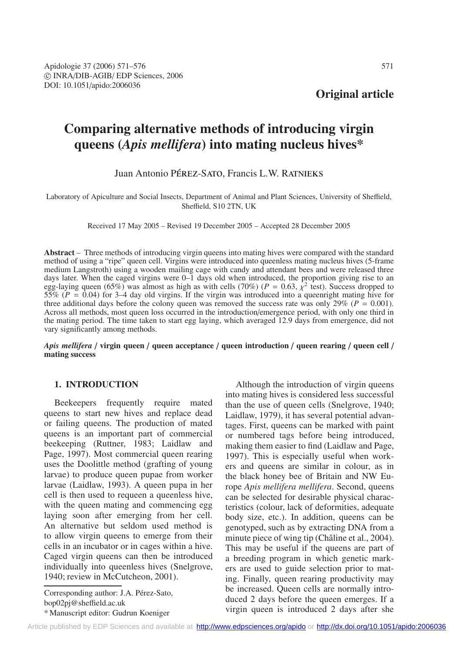**Original article**

# **Comparing alternative methods of introducing virgin queens (***Apis mellifera***) into mating nucleus hives\***

# Juan Antonio PÉREZ-SATO, Francis L.W. RATNIEKS

Laboratory of Apiculture and Social Insects, Department of Animal and Plant Sciences, University of Sheffield, Sheffield, S10 2TN, UK

Received 17 May 2005 – Revised 19 December 2005 – Accepted 28 December 2005

**Abstract** – Three methods of introducing virgin queens into mating hives were compared with the standard method of using a "ripe" queen cell. Virgins were introduced into queenless mating nucleus hives (5-frame medium Langstroth) using a wooden mailing cage with candy and attendant bees and were released three days later. When the caged virgins were 0–1 days old when introduced, the proportion giving rise to an egg-laying queen (65%) was almost as high as with cells (70%) ( $P = 0.63$ ,  $\chi^2$  test). Success dropped to 55% (*P* = 0.04) for 3–4 day old virgins. If the virgin was introduced into a queenright mating hive for three additional days before the colony queen was removed the success rate was only  $29\%$  ( $P = 0.001$ ). Across all methods, most queen loss occurred in the introduction/emergence period, with only one third in the mating period. The time taken to start egg laying, which averaged 12.9 days from emergence, did not vary significantly among methods.

*Apis mellifera* / **virgin queen** / **queen acceptance** / **queen introduction** / **queen rearing** / **queen cell** / **mating success**

# **1. INTRODUCTION**

Beekeepers frequently require mated queens to start new hives and replace dead or failing queens. The production of mated queens is an important part of commercial beekeeping (Ruttner, 1983; Laidlaw and Page, 1997). Most commercial queen rearing uses the Doolittle method (grafting of young larvae) to produce queen pupae from worker larvae (Laidlaw, 1993). A queen pupa in her cell is then used to requeen a queenless hive, with the queen mating and commencing egg laying soon after emerging from her cell. An alternative but seldom used method is to allow virgin queens to emerge from their cells in an incubator or in cages within a hive. Caged virgin queens can then be introduced individually into queenless hives (Snelgrove, 1940; review in McCutcheon, 2001).

Corresponding author: J.A. Pérez-Sato, bop02pj@sheffield.ac.uk \* Manuscript editor: Gudrun Koeniger

Although the introduction of virgin queens into mating hives is considered less successful than the use of queen cells (Snelgrove, 1940; Laidlaw, 1979), it has several potential advantages. First, queens can be marked with paint or numbered tags before being introduced, making them easier to find (Laidlaw and Page, 1997). This is especially useful when workers and queens are similar in colour, as in the black honey bee of Britain and NW Europe *Apis mellifera mellifera*. Second, queens can be selected for desirable physical characteristics (colour, lack of deformities, adequate body size, etc.). In addition, queens can be genotyped, such as by extracting DNA from a minute piece of wing tip (Châline et al., 2004). This may be useful if the queens are part of a breeding program in which genetic markers are used to guide selection prior to mating. Finally, queen rearing productivity may be increased. Queen cells are normally introduced 2 days before the queen emerges. If a virgin queen is introduced 2 days after she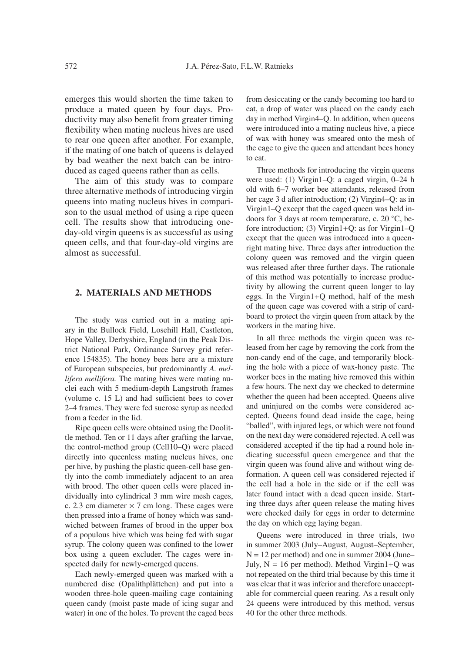emerges this would shorten the time taken to produce a mated queen by four days. Productivity may also benefit from greater timing flexibility when mating nucleus hives are used to rear one queen after another. For example, if the mating of one batch of queens is delayed by bad weather the next batch can be introduced as caged queens rather than as cells.

The aim of this study was to compare three alternative methods of introducing virgin queens into mating nucleus hives in comparison to the usual method of using a ripe queen cell. The results show that introducing oneday-old virgin queens is as successful as using queen cells, and that four-day-old virgins are almost as successful.

# **2. MATERIALS AND METHODS**

The study was carried out in a mating apiary in the Bullock Field, Losehill Hall, Castleton, Hope Valley, Derbyshire, England (in the Peak District National Park, Ordinance Survey grid reference 154835). The honey bees here are a mixture of European subspecies, but predominantly *A. mellifera mellifera.* The mating hives were mating nuclei each with 5 medium-depth Langstroth frames (volume c. 15 L) and had sufficient bees to cover 2–4 frames. They were fed sucrose syrup as needed from a feeder in the lid.

Ripe queen cells were obtained using the Doolittle method. Ten or 11 days after grafting the larvae, the control-method group (Cell10–Q) were placed directly into queenless mating nucleus hives, one per hive, by pushing the plastic queen-cell base gently into the comb immediately adjacent to an area with brood. The other queen cells were placed individually into cylindrical 3 mm wire mesh cages, c. 2.3 cm diameter  $\times$  7 cm long. These cages were then pressed into a frame of honey which was sandwiched between frames of brood in the upper box of a populous hive which was being fed with sugar syrup. The colony queen was confined to the lower box using a queen excluder. The cages were inspected daily for newly-emerged queens.

Each newly-emerged queen was marked with a numbered disc (Opalithplättchen) and put into a wooden three-hole queen-mailing cage containing queen candy (moist paste made of icing sugar and water) in one of the holes. To prevent the caged bees

from desiccating or the candy becoming too hard to eat, a drop of water was placed on the candy each day in method Virgin4–Q. In addition, when queens were introduced into a mating nucleus hive, a piece of wax with honey was smeared onto the mesh of the cage to give the queen and attendant bees honey to eat.

Three methods for introducing the virgin queens were used: (1) Virgin1–Q: a caged virgin, 0–24 h old with 6–7 worker bee attendants, released from her cage 3 d after introduction; (2) Virgin4–Q: as in Virgin1–Q except that the caged queen was held indoors for 3 days at room temperature, c. 20 ◦C, before introduction; (3) Virgin1+Q: as for Virgin1–Q except that the queen was introduced into a queenright mating hive. Three days after introduction the colony queen was removed and the virgin queen was released after three further days. The rationale of this method was potentially to increase productivity by allowing the current queen longer to lay eggs. In the Virgin1+Q method, half of the mesh of the queen cage was covered with a strip of cardboard to protect the virgin queen from attack by the workers in the mating hive.

In all three methods the virgin queen was released from her cage by removing the cork from the non-candy end of the cage, and temporarily blocking the hole with a piece of wax-honey paste. The worker bees in the mating hive removed this within a few hours. The next day we checked to determine whether the queen had been accepted. Queens alive and uninjured on the combs were considered accepted. Queens found dead inside the cage, being "balled", with injured legs, or which were not found on the next day were considered rejected. A cell was considered accepted if the tip had a round hole indicating successful queen emergence and that the virgin queen was found alive and without wing deformation. A queen cell was considered rejected if the cell had a hole in the side or if the cell was later found intact with a dead queen inside. Starting three days after queen release the mating hives were checked daily for eggs in order to determine the day on which egg laying began.

Queens were introduced in three trials, two in summer 2003 (July–August, August–September,  $N = 12$  per method) and one in summer 2004 (June– July,  $N = 16$  per method). Method Virgin $1+Q$  was not repeated on the third trial because by this time it was clear that it was inferior and therefore unacceptable for commercial queen rearing. As a result only 24 queens were introduced by this method, versus 40 for the other three methods.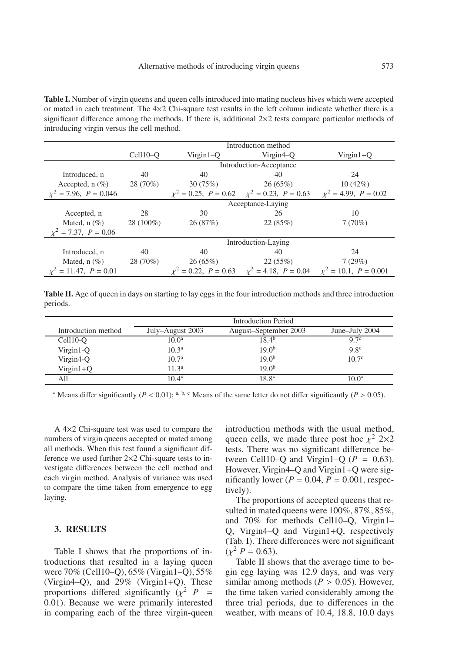**Table I.** Number of virgin queens and queen cells introduced into mating nucleus hives which were accepted or mated in each treatment. The  $4\times2$  Chi-square test results in the left column indicate whether there is a significant difference among the methods. If there is, additional  $2\times 2$  tests compare particular methods of introducing virgin versus the cell method.

|                            | Introduction method     |                     |                                                                         |                           |  |
|----------------------------|-------------------------|---------------------|-------------------------------------------------------------------------|---------------------------|--|
|                            | $Cell10-O$              | $Virgin1-O$         | Virgin <sub>4</sub> –O                                                  | $Virgin1+O$               |  |
|                            | Introduction-Acceptance |                     |                                                                         |                           |  |
| Introduced, n              | 40                      | 40                  | 40                                                                      | 24                        |  |
| Accepted, $n$ $(\%)$       | 28 (70%)                | 30(75%)             | 26(65%)                                                                 | 10(42%)                   |  |
| $x^2 = 7.96$ , $P = 0.046$ |                         |                     | $\chi^2 = 0.25$ , $P = 0.62$ $\chi^2 = 0.23$ , $P = 0.63$               | $x^2 = 4.99$ , $P = 0.02$ |  |
|                            | Acceptance-Laying       |                     |                                                                         |                           |  |
| Accepted, n                | 28                      | 30                  | 26                                                                      | 10                        |  |
| Mated, $n$ (%)             | $28(100\%)$             | 26(87%)             | 22(85%)                                                                 | 7(70%)                    |  |
| $x^2 = 7.37$ , $P = 0.06$  |                         |                     |                                                                         |                           |  |
|                            |                         | Introduction-Laying |                                                                         |                           |  |
| Introduced, n              | 40                      | 40                  | 40                                                                      | 24                        |  |
| Mated, $n$ $(\%)$          | 28 (70%)                | 26(65%)             | 22(55%)                                                                 | 7(29%)                    |  |
| $= 11.47, P = 0.01$        |                         |                     | $= 0.22, P = 0.63$ $\chi^2 = 4.18, P = 0.04$ $\chi^2 = 10.1, P = 0.001$ |                           |  |

**Table II.** Age of queen in days on starting to lay eggs in the four introduction methods and three introduction periods.

|                       | Introduction Period |                       |                   |  |
|-----------------------|---------------------|-----------------------|-------------------|--|
| Introduction method   | July–August 2003    | August-September 2003 | June–July 2004    |  |
| Cell <sub>10</sub> -O | $10.0^{\rm a}$      | $18.4^{b}$            | 9.7 <sup>c</sup>  |  |
| $Virgin1-Q$           | 10.3 <sup>a</sup>   | 19.0 <sup>b</sup>     | 9.8 <sup>c</sup>  |  |
| Virgin4-Q             | 10.7 <sup>a</sup>   | 19.0 <sup>b</sup>     | 10.7 <sup>c</sup> |  |
| $Virgin1+Q$           | 11.3 <sup>a</sup>   | 19.0 <sup>b</sup>     |                   |  |
| All                   | $10.4*$             | 18.8*                 | $10.0^*$          |  |

<sup>\*</sup> Means differ significantly (*P* < 0.01); <sup>a, b, c</sup> Means of the same letter do not differ significantly (*P* > 0.05).

A 4×2 Chi-square test was used to compare the numbers of virgin queens accepted or mated among all methods. When this test found a significant difference we used further 2×2 Chi-square tests to investigate differences between the cell method and each virgin method. Analysis of variance was used to compare the time taken from emergence to egg laying.

### **3. RESULTS**

Table I shows that the proportions of introductions that resulted in a laying queen were 70% (Cell10–Q), 65% (Virgin1–Q), 55% (Virgin4–Q), and 29% (Virgin1+Q). These proportions differed significantly  $(\chi^2 \ P =$ 0.01). Because we were primarily interested in comparing each of the three virgin-queen introduction methods with the usual method, queen cells, we made three post hoc  $\chi^2$  2×2 tests. There was no significant difference between Cell10–Q and Virgin1–Q  $(P = 0.63)$ . However, Virgin4–Q and Virgin1+Q were significantly lower ( $P = 0.04$ ,  $P = 0.001$ , respectively).

The proportions of accepted queens that resulted in mated queens were 100%, 87%, 85%, and 70% for methods Cell10–Q, Virgin1– Q, Virgin4–Q and Virgin1+Q, respectively (Tab. I). There differences were not significant  $(y^2 P = 0.63)$ .

Table II shows that the average time to begin egg laying was 12.9 days, and was very similar among methods ( $P > 0.05$ ). However, the time taken varied considerably among the three trial periods, due to differences in the weather, with means of 10.4, 18.8, 10.0 days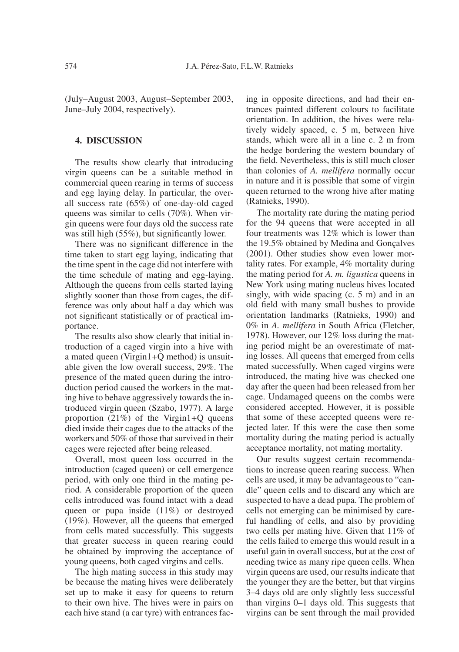(July–August 2003, August–September 2003, June–July 2004, respectively).

### **4. DISCUSSION**

The results show clearly that introducing virgin queens can be a suitable method in commercial queen rearing in terms of success and egg laying delay. In particular, the overall success rate (65%) of one-day-old caged queens was similar to cells (70%). When virgin queens were four days old the success rate was still high (55%), but significantly lower.

There was no significant difference in the time taken to start egg laying, indicating that the time spent in the cage did not interfere with the time schedule of mating and egg-laying. Although the queens from cells started laying slightly sooner than those from cages, the difference was only about half a day which was not significant statistically or of practical importance.

The results also show clearly that initial introduction of a caged virgin into a hive with a mated queen (Virgin1+Q method) is unsuitable given the low overall success, 29%. The presence of the mated queen during the introduction period caused the workers in the mating hive to behave aggressively towards the introduced virgin queen (Szabo, 1977). A large proportion  $(21\%)$  of the Virgin1+Q queens died inside their cages due to the attacks of the workers and 50% of those that survived in their cages were rejected after being released.

Overall, most queen loss occurred in the introduction (caged queen) or cell emergence period, with only one third in the mating period. A considerable proportion of the queen cells introduced was found intact with a dead queen or pupa inside (11%) or destroyed (19%). However, all the queens that emerged from cells mated successfully. This suggests that greater success in queen rearing could be obtained by improving the acceptance of young queens, both caged virgins and cells.

The high mating success in this study may be because the mating hives were deliberately set up to make it easy for queens to return to their own hive. The hives were in pairs on each hive stand (a car tyre) with entrances facing in opposite directions, and had their entrances painted different colours to facilitate orientation. In addition, the hives were relatively widely spaced, c. 5 m, between hive stands, which were all in a line c. 2 m from the hedge bordering the western boundary of the field. Nevertheless, this is still much closer than colonies of *A. mellifera* normally occur in nature and it is possible that some of virgin queen returned to the wrong hive after mating (Ratnieks, 1990).

The mortality rate during the mating period for the 94 queens that were accepted in all four treatments was 12% which is lower than the 19.5% obtained by Medina and Gonçalves (2001). Other studies show even lower mortality rates. For example, 4% mortality during the mating period for *A. m. ligustica* queens in New York using mating nucleus hives located singly, with wide spacing (c. 5 m) and in an old field with many small bushes to provide orientation landmarks (Ratnieks, 1990) and 0% in *A. mellifera* in South Africa (Fletcher, 1978). However, our 12% loss during the mating period might be an overestimate of mating losses. All queens that emerged from cells mated successfully. When caged virgins were introduced, the mating hive was checked one day after the queen had been released from her cage. Undamaged queens on the combs were considered accepted. However, it is possible that some of these accepted queens were rejected later. If this were the case then some mortality during the mating period is actually acceptance mortality, not mating mortality.

Our results suggest certain recommendations to increase queen rearing success. When cells are used, it may be advantageous to "candle" queen cells and to discard any which are suspected to have a dead pupa. The problem of cells not emerging can be minimised by careful handling of cells, and also by providing two cells per mating hive. Given that 11% of the cells failed to emerge this would result in a useful gain in overall success, but at the cost of needing twice as many ripe queen cells. When virgin queens are used, our results indicate that the younger they are the better, but that virgins 3–4 days old are only slightly less successful than virgins 0–1 days old. This suggests that virgins can be sent through the mail provided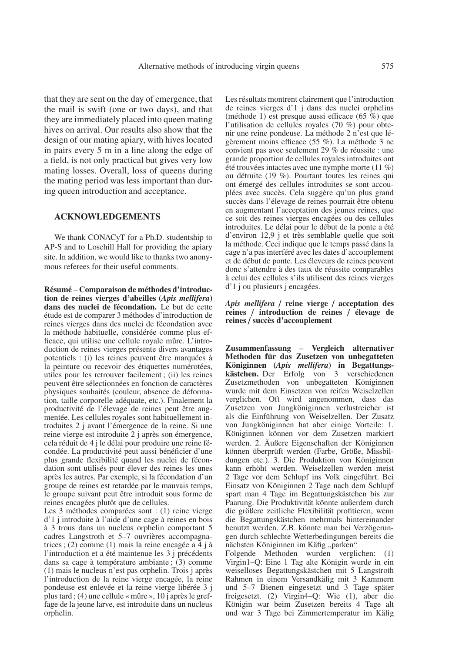that they are sent on the day of emergence, that the mail is swift (one or two days), and that they are immediately placed into queen mating hives on arrival. Our results also show that the design of our mating apiary, with hives located in pairs every 5 m in a line along the edge of a field, is not only practical but gives very low mating losses. Overall, loss of queens during the mating period was less important than during queen introduction and acceptance.

### **ACKNOWLEDGEMENTS**

We thank CONACyT for a Ph.D. studentship to AP-S and to Losehill Hall for providing the apiary site. In addition, we would like to thanks two anonymous referees for their useful comments.

**Résumé** – **Comparaison de méthodes d'introduction de reines vierges d'abeilles (***Apis mellifera***) dans des nuclei de fécondation.** Le but de cette étude est de comparer 3 méthodes d'introduction de reines vierges dans des nuclei de fécondation avec la méthode habituelle, considérée comme plus efficace, qui utilise une cellule royale mûre. L'introduction de reines vierges présente divers avantages potentiels : (i) les reines peuvent être marquées à la peinture ou recevoir des étiquettes numérotées, utiles pour les retrouver facilement ; (ii) les reines peuvent être sélectionnées en fonction de caractères physiques souhaités (couleur, absence de déformation, taille corporelle adéquate, etc.). Finalement la productivité de l'élevage de reines peut être augmentée. Les cellules royales sont habituellement introduites 2 j avant l'émergence de la reine. Si une reine vierge est introduite 2 j après son émergence, cela réduit de 4 j le délai pour produire une reine fécondée. La productivité peut aussi bénéficier d'une plus grande flexibilité quand les nuclei de fécondation sont utilisés pour élever des reines les unes après les autres. Par exemple, si la fécondation d'un groupe de reines est retardée par le mauvais temps, le groupe suivant peut être introduit sous forme de reines encagées plutôt que de cellules.

Les 3 méthodes comparées sont : (1) reine vierge d'1 j introduite à l'aide d'une cage à reines en bois à 3 trous dans un nucleus orphelin comportant 5 cadres Langstroth et 5–7 ouvrières accompagnatrices ; (2) comme (1) mais la reine encagée a 4 j à l'introduction et a été maintenue les 3 j précédents dans sa cage à température ambiante ; (3) comme (1) mais le nucleus n'est pas orphelin. Trois j après l'introduction de la reine vierge encagée, la reine pondeuse est enlevée et la reine vierge libérée 3 j plus tard ; (4) une cellule « mûre », 10 j après le greffage de la jeune larve, est introduite dans un nucleus orphelin.

Les résultats montrent clairement que l'introduction de reines vierges d'1 j dans des nuclei orphelins (méthode 1) est presque aussi efficace (65 %) que l'utilisation de cellules royales (70 %) pour obtenir une reine pondeuse. La méthode 2 n'est que légèrement moins efficace (55 %). La méthode 3 ne convient pas avec seulement 29 % de réussite : une grande proportion de cellules royales introduites ont été trouvées intactes avec une nymphe morte (11 %) ou détruite (19 %). Pourtant toutes les reines qui ont émergé des cellules introduites se sont accouplées avec succès. Cela suggère qu'un plus grand succès dans l'élevage de reines pourrait être obtenu en augmentant l'acceptation des jeunes reines, que ce soit des reines vierges encagées ou des cellules introduites. Le délai pour le début de la ponte a été d'environ 12,9 j et très semblable quelle que soit la méthode. Ceci indique que le temps passé dans la cage n'a pas interféré avec les dates d'accouplement et de début de ponte. Les éleveurs de reines peuvent donc s'attendre à des taux de réussite comparables à celui des cellules s'ils utilisent des reines vierges d'1 j ou plusieurs j encagées.

*Apis mellifera* / **reine vierge** / **acceptation des reines** / **introduction de reines** / **élevage de reines** / **succès d'accouplement**

**Zusammenfassung** – **Vergleich alternativer Methoden für das Zusetzen von unbegatteten Königinnen (***Apis mellifera***) in Begattungskästchen.** Der Erfolg von 3 verschiedenen Zusetzmethoden von unbegatteten Königinnen wurde mit dem Einsetzen von reifen Weiselzellen verglichen. Oft wird angenommen, dass das Zusetzen von Jungköniginnen verlustreicher ist als die Einführung von Weiselzellen. Der Zusatz von Jungköniginnen hat aber einige Vorteile: 1. Königinnen können vor dem Zusetzen markiert werden. 2. Äußere Eigenschaften der Königinnen können überprüft werden (Farbe, Größe, Missbildungen etc.). 3. Die Produktion von Königinnen kann erhöht werden. Weiselzellen werden meist 2 Tage vor dem Schlupf ins Volk eingeführt. Bei Einsatz von Königinnen 2 Tage nach dem Schlupf spart man 4 Tage im Begattungskästchen bis zur Paarung. Die Produktivität könnte außerdem durch die größere zeitliche Flexibilität profitieren, wenn die Begattungskästchen mehrmals hintereinander benutzt werden. Z.B. könnte man bei Verzögerungen durch schlechte Wetterbedingungen bereits die nächsten Königinnen im Käfig "parken"

Folgende Methoden wurden verglichen: (1) Virgin1–Q: Eine 1 Tag alte Königin wurde in ein weiselloses Begattungskästchen mit 5 Langstroth Rahmen in einem Versandkäfig mit 3 Kammern und 5–7 Bienen eingesetzt und 3 Tage später freigesetzt. (2) Virgin4–Q: Wie (1), aber die Königin war beim Zusetzen bereits 4 Tage alt und war 3 Tage bei Zimmertemperatur im Käfig